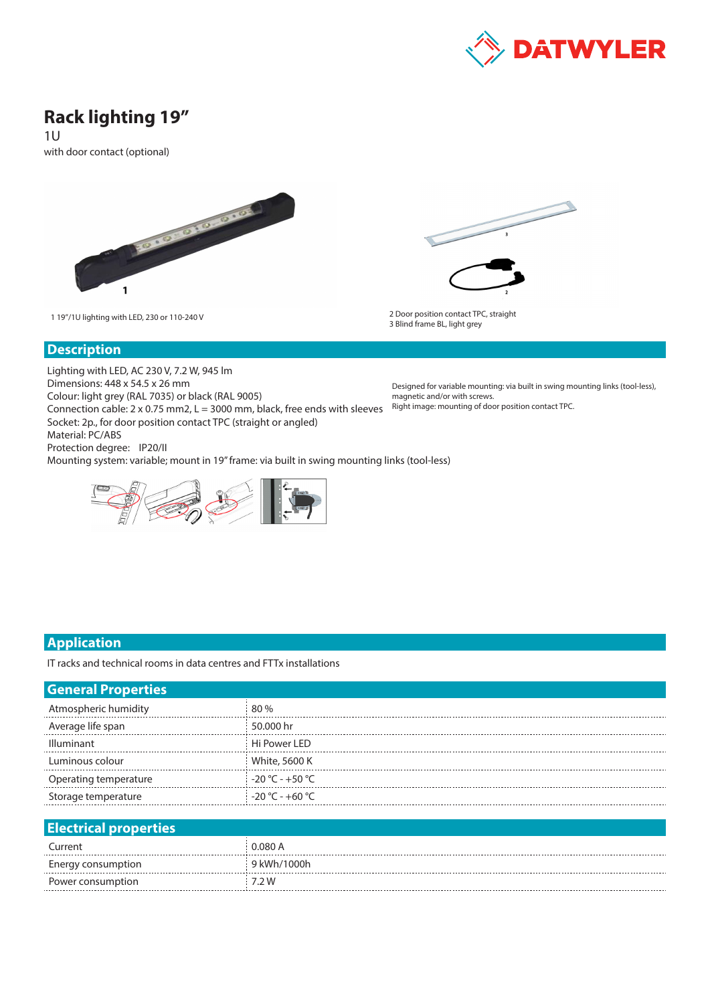

# **Rack lighting 19"**

1U

with door contact (optional)





1 19"/1U lighting with LED, 230 or 110-240 V 2 Door position contact TPC, straight 3 Blind frame BL, light grey

#### **Description**

Lighting with LED, AC 230 V, 7.2 W, 945 lm Dimensions: 448 x 54.5 x 26 mm Colour: light grey (RAL 7035) or black (RAL 9005) Connection cable:  $2 \times 0.75$  mm2,  $L = 3000$  mm, black, free ends with sleeves Socket: 2p., for door position contact TPC (straight or angled) Material: PC/ABS Protection degree: IP20/II Mounting system: variable; mount in 19" frame: via built in swing mounting links (tool-less)



Designed for variable mounting: via built in swing mounting links (tool-less), magnetic and/or with screws. Right image: mounting of door position contact TPC.

### **Application**

IT racks and technical rooms in data centres and FTTx installations

| <b>General Properties</b>    |                   |
|------------------------------|-------------------|
| Atmospheric humidity         | 80 %              |
| Average life span            | 50.000 hr         |
| <b>Illuminant</b>            | Hi Power LED      |
| Luminous colour              | White, 5600 K     |
| Operating temperature        | $-20 °C - +50 °C$ |
| Storage temperature          | $-20 °C - +60 °C$ |
|                              |                   |
| <b>Electrical properties</b> |                   |
|                              |                   |

| Current            | 0.080 A     |
|--------------------|-------------|
| Energy consumption | 9 kWh/1000h |
| Power consumption  | .2 W        |